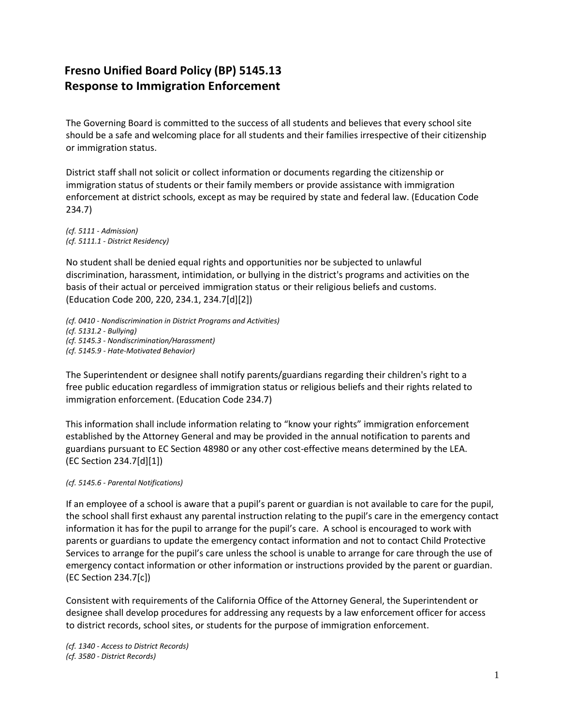## **Fresno Unified Board Policy (BP) 5145.13 Response to Immigration Enforcement**

The Governing Board is committed to the success of all students and believes that every school site should be a safe and welcoming place for all students and their families irrespective of their citizenship or immigration status.

District staff shall not solicit or collect information or documents regarding the citizenship or immigration status of students or their family members or provide assistance with immigration enforcement at district schools, except as may be required by state and federal law. (Education Code 234.7)

*(cf. 5111 - Admission) (cf. 5111.1 - District Residency)*

No student shall be denied equal rights and opportunities nor be subjected to unlawful discrimination, harassment, intimidation, or bullying in the district's programs and activities on the basis of their actual or perceived immigration status or their religious beliefs and customs. (Education Code 200, 220, 234.1, 234.7[d][2])

*(cf. 0410 - Nondiscrimination in District Programs and Activities) (cf. 5131.2 - Bullying) (cf. 5145.3 - Nondiscrimination/Harassment) (cf. 5145.9 - Hate-Motivated Behavior)*

The Superintendent or designee shall notify parents/guardians regarding their children's right to a free public education regardless of immigration status or religious beliefs and their rights related to immigration enforcement. (Education Code 234.7)

This information shall include information relating to "know your rights" immigration enforcement established by the Attorney General and may be provided in the annual notification to parents and guardians pursuant to EC Section 48980 or any other cost-effective means determined by the LEA. (EC Section 234.7[d][1])

## *(cf. 5145.6 - Parental Notifications)*

If an employee of a school is aware that a pupil's parent or guardian is not available to care for the pupil, the school shall first exhaust any parental instruction relating to the pupil's care in the emergency contact information it has for the pupil to arrange for the pupil's care. A school is encouraged to work with parents or guardians to update the emergency contact information and not to contact Child Protective Services to arrange for the pupil's care unless the school is unable to arrange for care through the use of emergency contact information or other information or instructions provided by the parent or guardian. (EC Section 234.7[c])

Consistent with requirements of the California Office of the Attorney General, the Superintendent or designee shall develop procedures for addressing any requests by a law enforcement officer for access to district records, school sites, or students for the purpose of immigration enforcement.

*(cf. 1340 - Access to District Records) (cf. 3580 - District Records)*